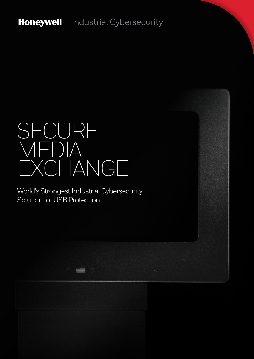Honeywell | Industrial Cybersecurity

# SECURE MEDIA EXCHANGE

World's Strongest Industrial Cybersecurity Solution for USB Protection

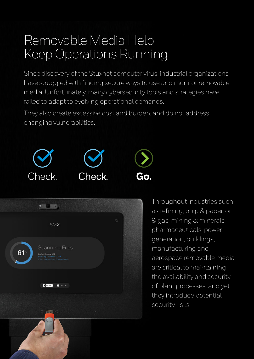### Removable Media Help Keep Operations Running

Since discovery of the Stuxnet computer virus, industrial organizations have struggled with finding secure ways to use and monitor removable media. Unfortunately, many cybersecurity tools and strategies have failed to adapt to evolving operational demands.

They also create excessive cost and burden, and do not address changing vulnerabilities.





Throughout industries such as refining, pulp & paper, oil & gas, mining & minerals, pharmaceuticals, power generation, buildings, manufacturing and aerospace removable media are critical to maintaining the availability and security of plant processes, and yet they introduce potential security risks.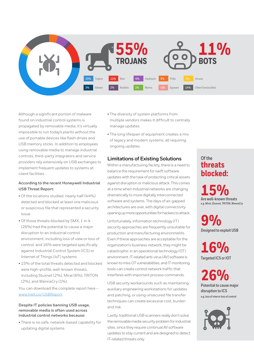

Although a significant portion of malware found on industrial control systems is propagated by removable media, it's virtually impossible to run today's plants without the use of portable devices like flash drives and USB memory sticks. In addition to employees using removable media to manage industrial controls, third-party integrators and service providers rely extensively on USB exchanges to implement frequent updates to systems at client facilities.

#### **According to the recent Honeywell Industrial USB Threat Report:**

- Of the locations studied, nearly half (44%) detected and blocked at least one malicious or suspicious file that represented a security issue
- Of those threats blocked by SMX, 1 in 4 (26%) had the potential to cause a major disruption to an industrial control environment, including loss of view or loss of control, and 16% were targeted specifically against Industrial Control System (ICS) or Internet of Things (IoT) systems
- 15% of the total threats detected and blocked were high-profile, well-known threats, including Stuxnet (2%), Mirai (6%), TRITON (2%), and WannaCry (1%).

You can download the complete report here – www.hwll.co/USBReport

#### **Despite IT policies banning USB usage, removable media is often used across industrial control networks because:**

• There is no safe, network-based capability for updating digital systems

- The diversity of system platforms from multiple vendors makes it difficult to centrally manage updates
- The long lifespan of equipment creates a mix of legacy and modern systems, all requiring ongoing updates.

#### **Limitations of Existing Solutions**

Within a manufacturing facility, there is a need to balance the requirement for swift software updates with the task of protecting critical assets against disruption or malicious attack. This comes at a time when industrial networks are changing dramatically to more digitally interconnected software and systems. The days of air-gapped architectures are over, with digital connectivity opening up more opportunities for hackers to attack.

Unfortunately, information technology (IT) security approaches are frequently unsuitable for production and manufacturing environments. Even if these approaches are acceptable for the organization's business network, they might be catastrophic in an operational technology (OT) environment. IT-related anti-virus (AV) software is known to miss OT vulnerabilities, and IT monitoring tools can create control network traffic that interferes with important process commands.

USB security workarounds such as maintaining auxiliary engineering workstations for updates and patching, or using unsecured file transfer techniques can create excessive cost, burden and risk.

Lastly, traditional USB scanners really don't solve the removable media security problem for industrial sites, since they require continual AV software updates to stay current and are designed to detect IT-related threats only.

### **threats blocked: Of the**

**15% Are well-known threats** *e.g. Mirai, Stuxnet, TRITON, WannaCry*

**9% Designed to exploit USB**

**16% Targeted ICS or IOT**

**26% Potential to cause major disruption to ICS** *e.g. loss of view or loss of control*

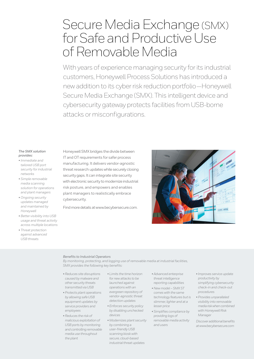### Secure Media Exchange (SMX) for Safe and Productive Use of Removable Media

With years of experience managing security for its industrial customers, Honeywell Process Solutions has introduced a new addition to its cyber risk reduction portfolio—Honeywell Secure Media Exchange (SMX). This intelligent device and cybersecurity gateway protects facilities from USB-borne attacks or misconfigurations.

#### *The SMX solution provides:*

- *Immediate and tailored USB port security for industrial networks*
- *Simple removable media scanning solution for operations and plant managers*
- *Ongoing security updates managed and maintained by Honeywell*
- *Better visibility into USB usage and threat activity across multiple locations*
- *Threat protection against advanced USB threats*

Honeywell SMX bridges the divide between IT and OT requirements for safer process manufacturing. It delivers vendor-agnostic threat research updates while securely closing security gaps. It can integrate site security with electronic security to modernize industrial risk posture, and empowers and enables plant managers to realistically embrace cybersecurity.

Find more details at www.becybersecure.com.



#### *Benefits to Industrial Operators*

*By monitoring, protecting, and logging use of removable media at industrial facilities, SMX provides the following key benefits:* 

- *Reduces site disruptions caused by malware and other security threats transmitted via USB*
- *Protects plant operations by allowing safe USB equipment updates by service providers and employees*
- *Reduces the risk of malicious exploitation of USB ports by monitoring and controlling removable media use throughout the plant*
- *Limits the time horizon for new attacks to be launched against operations with an evergreen repository of vendor-agnostic threat detection updates*
- *Enforces security policy by disabling unchecked devices*
- *Modernizes plant security by combining a user-friendly USB scanning kiosk with secure, cloud-based industrial threat updates*
- *Advanced enterprise threat intelligence reporting capabilities*
- *New model SMX ST comes with the same technology features but is slimmer, lighter and at a lesser price*
- *Simplifies compliance by providing logs of removable media activity and users*
- *Improves service update productivity by simplifying cybersecurity check-in and check-out procedures*
- *Provides unparalleled visibility into removable media risk when combined with Honeywell Risk Manager*

*Discover additional benefits at www.becybersecure.com*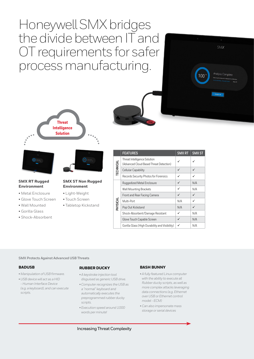Honeywell SMX bridges the divide between IT and OT requirements for safer process manufacturing.









**SMX ST Non Rugged** 

**Environment** 

• Touch Screen • Tabletop Kickstand

#### **SMX RT Rugged Environment**

- Metal Enclosure • Light-Weight
- Glove Touch Screen
- Wall Mounted
- Gorilla Glass
- Shock-Absorbent

|           | <b>FEATURES</b>                                                         | <b>SMX RT</b> | <b>SMX ST</b> |
|-----------|-------------------------------------------------------------------------|---------------|---------------|
| TECHNICAL | Threat Intelligence Solution<br>(Advanced Cloud Based Threat Detection) | ✓             |               |
|           | <b>Cellular Capability</b>                                              | ✓             | ✓             |
|           | Records Security Photos for Forensics                                   | ✓             | ✓             |
| PHYSICAL  | Ruggedized Metal Enclosure                                              | ✓             | N/A           |
|           | <b>Wall Mounting Brackets</b>                                           | ✓             | N/A           |
|           | Front and Rear Facing Camera                                            | ✓             | ✓             |
|           | Multi-Port                                                              | N/A           | ✓             |
|           | Pop Out Kickstand                                                       | N/A           | ✓             |
|           | Shock-Absorbent/Damage Resistant                                        | ✓             | N/A           |
|           | Glove Touch Capable Screen                                              | ✓             | N/A           |
|           | Gorilla Glass (High Durability and Visibility)                          | ✓             | N/A           |

**SMX Protects Against Advanced USB Threats**

#### **BADUSB**

- *Manipulation of USB firmware.*
- *USB device will act as a HID - Human Interface Device (e.g. a keyboard), and can execute scripts.*

#### **RUBBER DUCKY**

- *A keystroke injection tool disguised as generic USB drive.*
- *Computer recognizes the USB as a "normal" keyboard and automatically executes the preprogrammed rubber ducky scripts.*
- *Execution speed around 1000 words per minute!*

#### **BASH BUNNY**

- *A fully featured Linux computer with the ability to execute all Rubber ducky scripts, as well as more complex attacks leveraging data connections (e.g. Ethernet over USB or Ethernet control model - ECM)*
- *Can also impersonate mass storage or serial devices*

Increasing Threat Complexity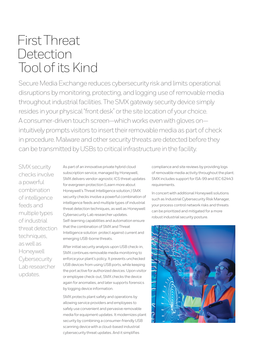### First Threat **Detection** Tool of its Kind

Secure Media Exchange reduces cybersecurity risk and limits operational disruptions by monitoring, protecting, and logging use of removable media throughout industrial facilities. The SMX gateway security device simply resides in your physical "front desk" or the site location of your choice. A consumer-driven touch screen—which works even with gloves on intuitively prompts visitors to insert their removable media as part of check in procedure. Malware and other security threats are detected before they can be transmitted by USBs to critical infrastructure in the facility.

SMX security checks involve a powerful combination of intelligence feeds and multiple types of industrial threat detection techniques. as well as Honeywell **Cybersecurity** Lab researcher updates.

As part of an innovative private hybrid cloud subscription service, managed by Honeywell, SMX delivers vendor-agnostic ICS threat updates for evergreen protection (Learn more about Honeywell's Threat Intelligence solution,) SMX security checks involve a powerful combination of intelligence feeds and multiple types of industrial threat detection techniques, as well as Honeywell Cybersecurity Lab researcher updates. Self-learning capabilities and automation ensure that the combination of SMX and Threat Intelligence solution protect against current and emerging USB-borne threats.

After initial security analysis upon USB check-in, SMX continues removable media monitoring to enforce your plant's policy. It prevents unchecked USB devices from using USB ports, while keeping the port active for authorized devices. Upon visitor or employee check-out, SMX checks the device again for anomalies, and later supports forensics by logging device information.

SMX protects plant safety and operations by allowing service providers and employees to safely use convenient and pervasive removable media for equipment updates. It modernizes plant security by combining a consumer-friendly USB scanning device with a cloud-based industrial cybersecurity threat updates. And it simplifies

compliance and site reviews by providing logs of removable media activity throughout the plant. SMX includes support for ISA-99 and IEC 62443 requirements.

In concert with additional Honeywell solutions such as Industrial Cybersecurity Risk Manager, your process control network risks and threats can be prioritized and mitigated for a more robust industrial security posture.

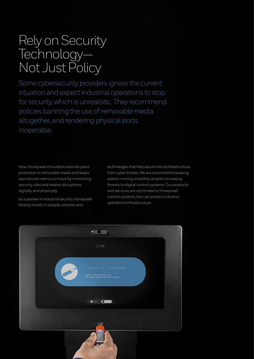### Rely on Security Technology— Not Just Policy

Some cybersecurity providers ignore the current situation and expect industrial operations to stop for security, which is unrealistic. They recommend policies banning the use of removable media altogether, and rendering physical ports inoperable.

Now, Honeywell innovation extends plant protection to removable media and keeps operational metrics on track by minimizing security risks and related disruptions, digitally and physically.

As a pioneer in industrial security, Honeywell heavily invests in people, process and

technologies that help secure critical infrastructure from cyber threats. We are committed to keeping plants running smoothly despite increasing threats to digital control systems. Our products and services are not limited to Honeywell control systems, but can protect a diverse operations infrastructure.